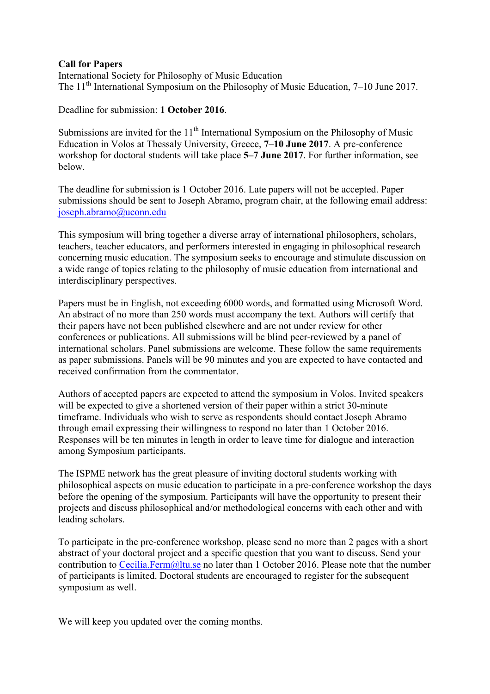## **Call for Papers**

International Society for Philosophy of Music Education The  $11<sup>th</sup>$  International Symposium on the Philosophy of Music Education, 7–10 June 2017.

Deadline for submission: **1 October 2016**.

Submissions are invited for the  $11<sup>th</sup>$  International Symposium on the Philosophy of Music Education in Volos at Thessaly University, Greece, **7–10 June 2017**. A pre-conference workshop for doctoral students will take place **5–7 June 2017**. For further information, see below.

The deadline for submission is 1 October 2016. Late papers will not be accepted. Paper submissions should be sent to Joseph Abramo, program chair, at the following email address: joseph.abramo@uconn.edu

This symposium will bring together a diverse array of international philosophers, scholars, teachers, teacher educators, and performers interested in engaging in philosophical research concerning music education. The symposium seeks to encourage and stimulate discussion on a wide range of topics relating to the philosophy of music education from international and interdisciplinary perspectives.

Papers must be in English, not exceeding 6000 words, and formatted using Microsoft Word. An abstract of no more than 250 words must accompany the text. Authors will certify that their papers have not been published elsewhere and are not under review for other conferences or publications. All submissions will be blind peer-reviewed by a panel of international scholars. Panel submissions are welcome. These follow the same requirements as paper submissions. Panels will be 90 minutes and you are expected to have contacted and received confirmation from the commentator.

Authors of accepted papers are expected to attend the symposium in Volos. Invited speakers will be expected to give a shortened version of their paper within a strict 30-minute timeframe. Individuals who wish to serve as respondents should contact Joseph Abramo through email expressing their willingness to respond no later than 1 October 2016. Responses will be ten minutes in length in order to leave time for dialogue and interaction among Symposium participants.

The ISPME network has the great pleasure of inviting doctoral students working with philosophical aspects on music education to participate in a pre-conference workshop the days before the opening of the symposium. Participants will have the opportunity to present their projects and discuss philosophical and/or methodological concerns with each other and with leading scholars.

To participate in the pre-conference workshop, please send no more than 2 pages with a short abstract of your doctoral project and a specific question that you want to discuss. Send your contribution to Cecilia.Ferm@ltu.se no later than 1 October 2016. Please note that the number of participants is limited. Doctoral students are encouraged to register for the subsequent symposium as well.

We will keep you updated over the coming months.